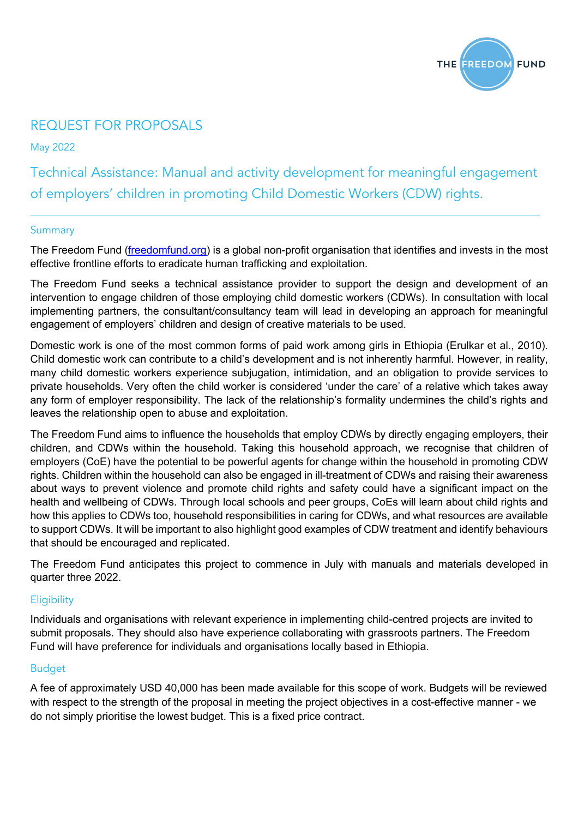

### REQUEST FOR PROPOSALS

May 2022

Technical Assistance: Manual and activity development for meaningful engagement of employers' children in promoting Child Domestic Workers (CDW) rights.

### **Summary**

The Freedom Fund (freedomfund.org) is a global non-profit organisation that identifies and invests in the most effective frontline efforts to eradicate human trafficking and exploitation.

The Freedom Fund seeks a technical assistance provider to support the design and development of an intervention to engage children of those employing child domestic workers (CDWs). In consultation with local implementing partners, the consultant/consultancy team will lead in developing an approach for meaningful engagement of employers' children and design of creative materials to be used.

Domestic work is one of the most common forms of paid work among girls in Ethiopia (Erulkar et al., 2010). Child domestic work can contribute to a child's development and is not inherently harmful. However, in reality, many child domestic workers experience subjugation, intimidation, and an obligation to provide services to private households. Very often the child worker is considered 'under the care' of a relative which takes away any form of employer responsibility. The lack of the relationship's formality undermines the child's rights and leaves the relationship open to abuse and exploitation.

The Freedom Fund aims to influence the households that employ CDWs by directly engaging employers, their children, and CDWs within the household. Taking this household approach, we recognise that children of employers (CoE) have the potential to be powerful agents for change within the household in promoting CDW rights. Children within the household can also be engaged in ill-treatment of CDWs and raising their awareness about ways to prevent violence and promote child rights and safety could have a significant impact on the health and wellbeing of CDWs. Through local schools and peer groups, CoEs will learn about child rights and how this applies to CDWs too, household responsibilities in caring for CDWs, and what resources are available to support CDWs. It will be important to also highlight good examples of CDW treatment and identify behaviours that should be encouraged and replicated.

The Freedom Fund anticipates this project to commence in July with manuals and materials developed in quarter three 2022.

### **Eligibility**

Individuals and organisations with relevant experience in implementing child-centred projects are invited to submit proposals. They should also have experience collaborating with grassroots partners. The Freedom Fund will have preference for individuals and organisations locally based in Ethiopia.

### Budget

A fee of approximately USD 40,000 has been made available for this scope of work. Budgets will be reviewed with respect to the strength of the proposal in meeting the project objectives in a cost-effective manner - we do not simply prioritise the lowest budget. This is a fixed price contract.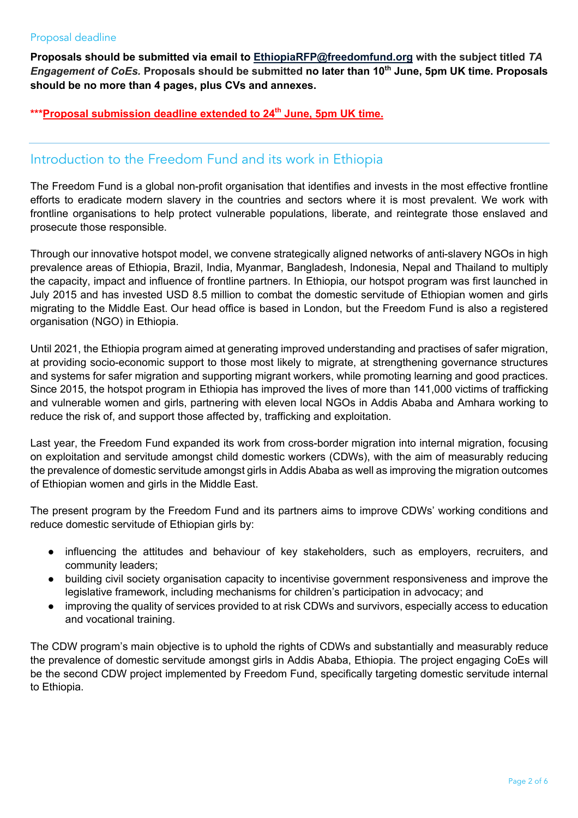### Proposal deadline

**Proposals should be submitted via email to EthiopiaRFP@freedomfund.org with the subject titled** *TA Engagement of CoEs.* **Proposals should be submitted no later than 10th June, 5pm UK time. Proposals should be no more than 4 pages, plus CVs and annexes.**

\*\*\*Proposal submission deadline extended to 24<sup>th</sup> June, 5pm UK time.

### Introduction to the Freedom Fund and its work in Ethiopia

The Freedom Fund is a global non-profit organisation that identifies and invests in the most effective frontline efforts to eradicate modern slavery in the countries and sectors where it is most prevalent. We work with frontline organisations to help protect vulnerable populations, liberate, and reintegrate those enslaved and prosecute those responsible.

Through our innovative hotspot model, we convene strategically aligned networks of anti-slavery NGOs in high prevalence areas of Ethiopia, Brazil, India, Myanmar, Bangladesh, Indonesia, Nepal and Thailand to multiply the capacity, impact and influence of frontline partners. In Ethiopia, our hotspot program was first launched in July 2015 and has invested USD 8.5 million to combat the domestic servitude of Ethiopian women and girls migrating to the Middle East. Our head office is based in London, but the Freedom Fund is also a registered organisation (NGO) in Ethiopia.

Until 2021, the Ethiopia program aimed at generating improved understanding and practises of safer migration, at providing socio-economic support to those most likely to migrate, at strengthening governance structures and systems for safer migration and supporting migrant workers, while promoting learning and good practices. Since 2015, the hotspot program in Ethiopia has improved the lives of more than 141,000 victims of trafficking and vulnerable women and girls, partnering with eleven local NGOs in Addis Ababa and Amhara working to reduce the risk of, and support those affected by, trafficking and exploitation.

Last year, the Freedom Fund expanded its work from cross-border migration into internal migration, focusing on exploitation and servitude amongst child domestic workers (CDWs), with the aim of measurably reducing the prevalence of domestic servitude amongst girls in Addis Ababa as well as improving the migration outcomes of Ethiopian women and girls in the Middle East.

The present program by the Freedom Fund and its partners aims to improve CDWs' working conditions and reduce domestic servitude of Ethiopian girls by:

- influencing the attitudes and behaviour of key stakeholders, such as employers, recruiters, and community leaders;
- building civil society organisation capacity to incentivise government responsiveness and improve the legislative framework, including mechanisms for children's participation in advocacy; and
- improving the quality of services provided to at risk CDWs and survivors, especially access to education and vocational training.

The CDW program's main objective is to uphold the rights of CDWs and substantially and measurably reduce the prevalence of domestic servitude amongst girls in Addis Ababa, Ethiopia. The project engaging CoEs will be the second CDW project implemented by Freedom Fund, specifically targeting domestic servitude internal to Ethiopia.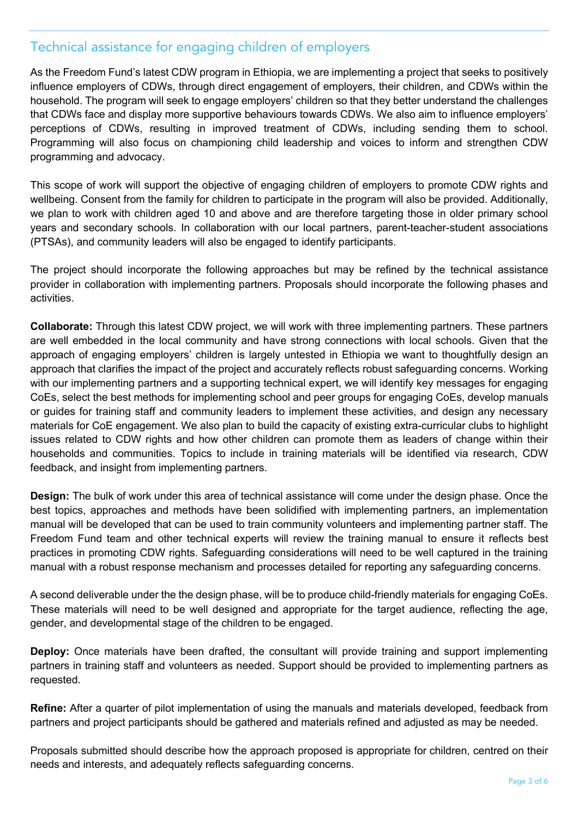### Technical assistance for engaging children of employers

As the Freedom Fund's latest CDW program in Ethiopia, we are implementing a project that seeks to positively influence employers of CDWs, through direct engagement of employers, their children, and CDWs within the household. The program will seek to engage employers' children so that they better understand the challenges that CDWs face and display more supportive behaviours towards CDWs. We also aim to influence employers' perceptions of CDWs, resulting in improved treatment of CDWs, including sending them to school. Programming will also focus on championing child leadership and voices to inform and strengthen CDW programming and advocacy.

This scope of work will support the objective of engaging children of employers to promote CDW rights and wellbeing. Consent from the family for children to participate in the program will also be provided. Additionally, we plan to work with children aged 10 and above and are therefore targeting those in older primary school years and secondary schools. In collaboration with our local partners, parent-teacher-student associations (PTSAs), and community leaders will also be engaged to identify participants.

The project should incorporate the following approaches but may be refined by the technical assistance provider in collaboration with implementing partners. Proposals should incorporate the following phases and activities.

**Collaborate:** Through this latest CDW project, we will work with three implementing partners. These partners are well embedded in the local community and have strong connections with local schools. Given that the approach of engaging employers' children is largely untested in Ethiopia we want to thoughtfully design an approach that clarifies the impact of the project and accurately reflects robust safeguarding concerns. Working with our implementing partners and a supporting technical expert, we will identify key messages for engaging CoEs, select the best methods for implementing school and peer groups for engaging CoEs, develop manuals or guides for training staff and community leaders to implement these activities, and design any necessary materials for CoE engagement. We also plan to build the capacity of existing extra-curricular clubs to highlight issues related to CDW rights and how other children can promote them as leaders of change within their households and communities. Topics to include in training materials will be identified via research, CDW feedback, and insight from implementing partners.

**Design:** The bulk of work under this area of technical assistance will come under the design phase. Once the best topics, approaches and methods have been solidified with implementing partners, an implementation manual will be developed that can be used to train community volunteers and implementing partner staff. The Freedom Fund team and other technical experts will review the training manual to ensure it reflects best practices in promoting CDW rights. Safeguarding considerations will need to be well captured in the training manual with a robust response mechanism and processes detailed for reporting any safeguarding concerns.

A second deliverable under the the design phase, will be to produce child-friendly materials for engaging CoEs. These materials will need to be well designed and appropriate for the target audience, reflecting the age, gender, and developmental stage of the children to be engaged.

**Deploy:** Once materials have been drafted, the consultant will provide training and support implementing partners in training staff and volunteers as needed. Support should be provided to implementing partners as requested.

**Refine:** After a quarter of pilot implementation of using the manuals and materials developed, feedback from partners and project participants should be gathered and materials refined and adjusted as may be needed.

Proposals submitted should describe how the approach proposed is appropriate for children, centred on their needs and interests, and adequately reflects safeguarding concerns.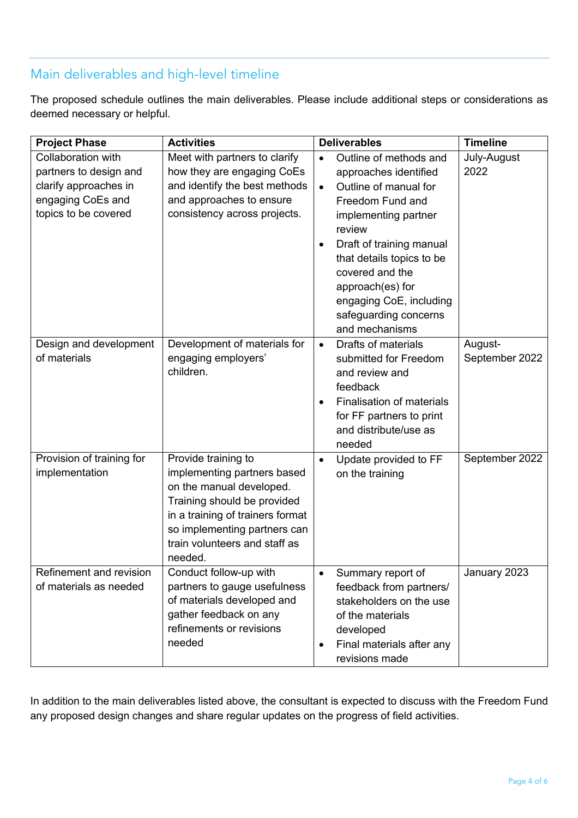# Main deliverables and high-level timeline

The proposed schedule outlines the main deliverables. Please include additional steps or considerations as deemed necessary or helpful.

| <b>Project Phase</b>                                                                                               | <b>Activities</b>                                                                                                                                                                                                             | <b>Deliverables</b>                                                                                                                                                                                                                                                                                                            | <b>Timeline</b>           |
|--------------------------------------------------------------------------------------------------------------------|-------------------------------------------------------------------------------------------------------------------------------------------------------------------------------------------------------------------------------|--------------------------------------------------------------------------------------------------------------------------------------------------------------------------------------------------------------------------------------------------------------------------------------------------------------------------------|---------------------------|
| Collaboration with<br>partners to design and<br>clarify approaches in<br>engaging CoEs and<br>topics to be covered | Meet with partners to clarify<br>how they are engaging CoEs<br>and identify the best methods<br>and approaches to ensure<br>consistency across projects.                                                                      | Outline of methods and<br>$\bullet$<br>approaches identified<br>Outline of manual for<br>$\bullet$<br>Freedom Fund and<br>implementing partner<br>review<br>Draft of training manual<br>that details topics to be<br>covered and the<br>approach(es) for<br>engaging CoE, including<br>safeguarding concerns<br>and mechanisms | July-August<br>2022       |
| Design and development<br>of materials                                                                             | Development of materials for<br>engaging employers'<br>children.                                                                                                                                                              | Drafts of materials<br>$\bullet$<br>submitted for Freedom<br>and review and<br>feedback<br>Finalisation of materials<br>for FF partners to print<br>and distribute/use as<br>needed                                                                                                                                            | August-<br>September 2022 |
| Provision of training for<br>implementation                                                                        | Provide training to<br>implementing partners based<br>on the manual developed.<br>Training should be provided<br>in a training of trainers format<br>so implementing partners can<br>train volunteers and staff as<br>needed. | Update provided to FF<br>on the training                                                                                                                                                                                                                                                                                       | September 2022            |
| Refinement and revision<br>of materials as needed                                                                  | Conduct follow-up with<br>partners to gauge usefulness<br>of materials developed and<br>gather feedback on any<br>refinements or revisions<br>needed                                                                          | Summary report of<br>$\bullet$<br>feedback from partners/<br>stakeholders on the use<br>of the materials<br>developed<br>Final materials after any<br>revisions made                                                                                                                                                           | January 2023              |

In addition to the main deliverables listed above, the consultant is expected to discuss with the Freedom Fund any proposed design changes and share regular updates on the progress of field activities.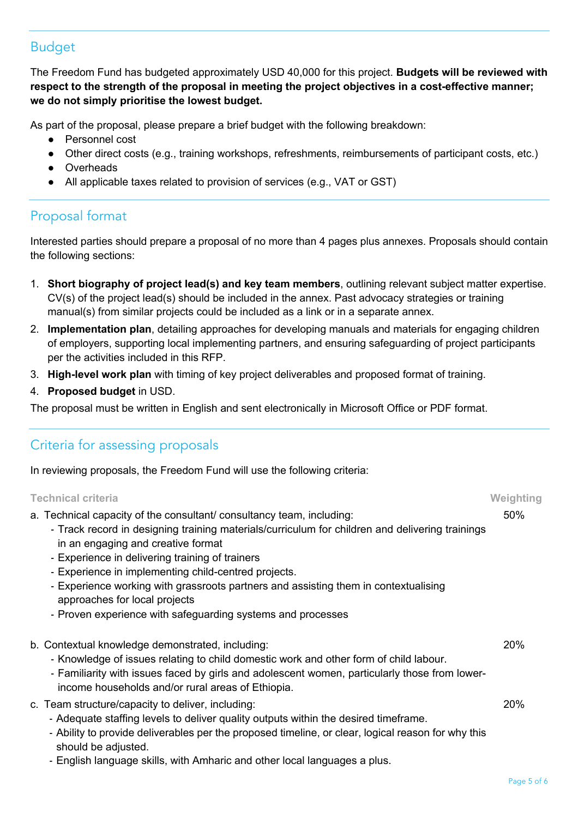# Budget

The Freedom Fund has budgeted approximately USD 40,000 for this project. **Budgets will be reviewed with respect to the strength of the proposal in meeting the project objectives in a cost-effective manner; we do not simply prioritise the lowest budget.**

As part of the proposal, please prepare a brief budget with the following breakdown:

- Personnel cost
- Other direct costs (e.g., training workshops, refreshments, reimbursements of participant costs, etc.)
- Overheads
- All applicable taxes related to provision of services (e.g., VAT or GST)

# Proposal format

Interested parties should prepare a proposal of no more than 4 pages plus annexes. Proposals should contain the following sections:

- 1. **Short biography of project lead(s) and key team members**, outlining relevant subject matter expertise. CV(s) of the project lead(s) should be included in the annex. Past advocacy strategies or training manual(s) from similar projects could be included as a link or in a separate annex.
- 2. **Implementation plan**, detailing approaches for developing manuals and materials for engaging children of employers, supporting local implementing partners, and ensuring safeguarding of project participants per the activities included in this RFP.
- 3. **High-level work plan** with timing of key project deliverables and proposed format of training.
- 4. **Proposed budget** in USD.

The proposal must be written in English and sent electronically in Microsoft Office or PDF format.

# Criteria for assessing proposals

In reviewing proposals, the Freedom Fund will use the following criteria:

| <b>Technical criteria</b>                                                                                                                                                                                                                                                                                                                                                                                                                                                                                       | Weighting  |
|-----------------------------------------------------------------------------------------------------------------------------------------------------------------------------------------------------------------------------------------------------------------------------------------------------------------------------------------------------------------------------------------------------------------------------------------------------------------------------------------------------------------|------------|
| a. Technical capacity of the consultant/consultancy team, including:<br>- Track record in designing training materials/curriculum for children and delivering trainings<br>in an engaging and creative format<br>- Experience in delivering training of trainers<br>- Experience in implementing child-centred projects.<br>- Experience working with grassroots partners and assisting them in contextualising<br>approaches for local projects<br>- Proven experience with safeguarding systems and processes | 50%        |
| b. Contextual knowledge demonstrated, including:<br>- Knowledge of issues relating to child domestic work and other form of child labour.<br>- Familiarity with issues faced by girls and adolescent women, particularly those from lower-<br>income households and/or rural areas of Ethiopia.                                                                                                                                                                                                                 | <b>20%</b> |
| c. Team structure/capacity to deliver, including:<br>- Adequate staffing levels to deliver quality outputs within the desired timeframe.<br>- Ability to provide deliverables per the proposed timeline, or clear, logical reason for why this<br>should be adjusted.<br>- English language skills, with Amharic and other local languages a plus.                                                                                                                                                              | <b>20%</b> |